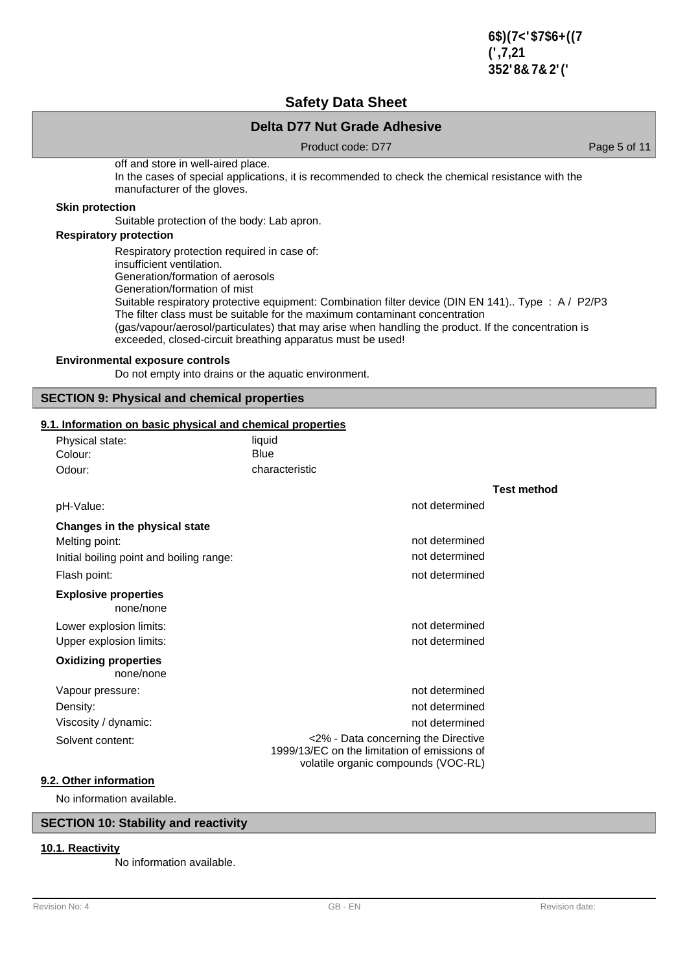$6\$7<\$6+(7)$ (',7,21 352'8**&2**'('

**Test method**

## **Safety Data Sheet**

## **Delta D77 Nut Grade Adhesive**

Product code: D77 Product code: D77

off and store in well-aired place. In the cases of special applications, it is recommended to check the chemical resistance with the manufacturer of the gloves.

#### **Skin protection**

Suitable protection of the body: Lab apron.

## **Respiratory protection**

Respiratory protection required in case of: insufficient ventilation. Generation/formation of aerosols Generation/formation of mist Suitable respiratory protective equipment: Combination filter device (DIN EN 141).. Type : A / P2/P3 The filter class must be suitable for the maximum contaminant concentration (gas/vapour/aerosol/particulates) that may arise when handling the product. If the concentration is exceeded, closed-circuit breathing apparatus must be used!

#### **Environmental exposure controls**

Do not empty into drains or the aquatic environment.

#### **SECTION 9: Physical and chemical properties**

#### **9.1. Information on basic physical and chemical properties**

| 1. Information on basic physical and chemical properties |                                                                                                                            |  |  |
|----------------------------------------------------------|----------------------------------------------------------------------------------------------------------------------------|--|--|
| Physical state:                                          | liquid                                                                                                                     |  |  |
| Colour:                                                  | Blue                                                                                                                       |  |  |
| Odour:                                                   | characteristic                                                                                                             |  |  |
|                                                          |                                                                                                                            |  |  |
| pH-Value:                                                | not determined                                                                                                             |  |  |
| Changes in the physical state                            |                                                                                                                            |  |  |
| Melting point:                                           | not determined                                                                                                             |  |  |
| Initial boiling point and boiling range:                 | not determined                                                                                                             |  |  |
| Flash point:                                             | not determined                                                                                                             |  |  |
| <b>Explosive properties</b><br>none/none                 |                                                                                                                            |  |  |
| Lower explosion limits:                                  | not determined                                                                                                             |  |  |
| Upper explosion limits:                                  | not determined                                                                                                             |  |  |
| <b>Oxidizing properties</b><br>none/none                 |                                                                                                                            |  |  |
| Vapour pressure:                                         | not determined                                                                                                             |  |  |
| Density:                                                 | not determined                                                                                                             |  |  |
| Viscosity / dynamic:                                     | not determined                                                                                                             |  |  |
| Solvent content:                                         | <2% - Data concerning the Directive<br>1999/13/EC on the limitation of emissions of<br>volatile organic compounds (VOC-RL) |  |  |

### **9.2. Other information**

No information available.

## **SECTION 10: Stability and reactivity**

### **10.1. Reactivity**

No information available.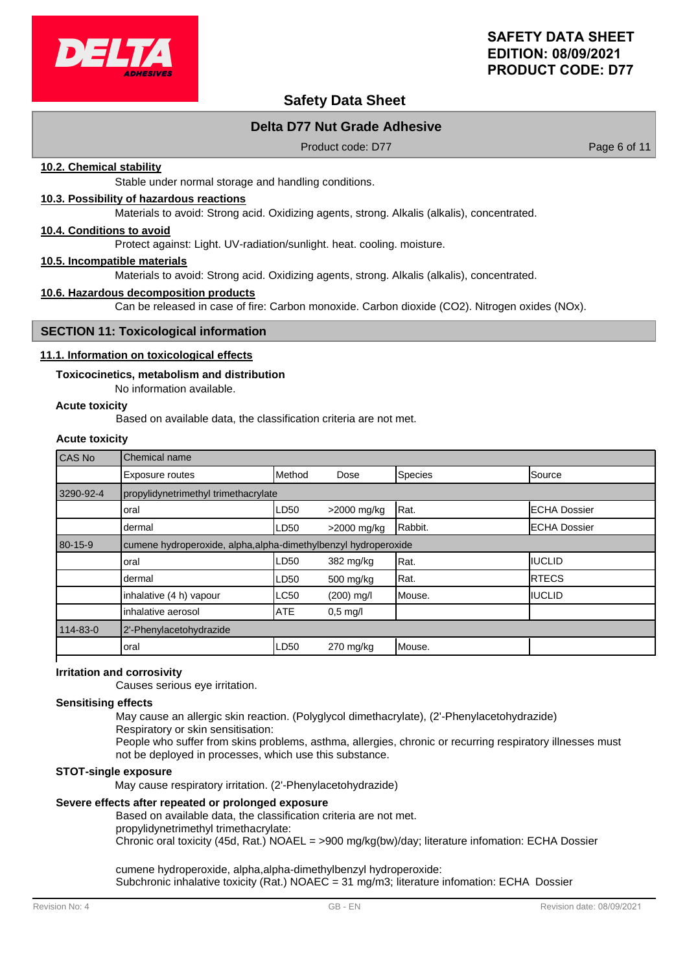

# **Safety Data Sheet**

## **Delta D77 Nut Grade Adhesive**

Product code: D77 Product code: D77

#### **10.2. Chemical stability**

Stable under normal storage and handling conditions.

#### **10.3. Possibility of hazardous reactions**

Materials to avoid: Strong acid. Oxidizing agents, strong. Alkalis (alkalis), concentrated.

#### **10.4. Conditions to avoid**

Protect against: Light. UV-radiation/sunlight. heat. cooling. moisture.

#### **10.5. Incompatible materials**

Materials to avoid: Strong acid. Oxidizing agents, strong. Alkalis (alkalis), concentrated.

#### **10.6. Hazardous decomposition products**

Can be released in case of fire: Carbon monoxide. Carbon dioxide (CO2). Nitrogen oxides (NOx).

#### **SECTION 11: Toxicological information**

#### **11.1. Information on toxicological effects**

#### **Toxicocinetics, metabolism and distribution**

No information available.

#### **Acute toxicity**

Based on available data, the classification criteria are not met.

## **Acute toxicity**

| CAS No    | Chemical name                                                   |            |             |         |                      |
|-----------|-----------------------------------------------------------------|------------|-------------|---------|----------------------|
|           | <b>Exposure routes</b>                                          | Method     | Dose        | Species | Source               |
| 3290-92-4 | propylidynetrimethyl trimethacrylate                            |            |             |         |                      |
|           | loral                                                           | LD50       | >2000 mg/kg | Rat.    | <b>IECHA Dossier</b> |
|           | dermal                                                          | LD50       | >2000 mg/kg | Rabbit. | <b>ECHA Dossier</b>  |
| 80-15-9   | cumene hydroperoxide, alpha, alpha-dimethylbenzyl hydroperoxide |            |             |         |                      |
|           | loral                                                           | LD50       | 382 mg/kg   | Rat.    | IIUCLID              |
|           | dermal                                                          | LD50       | 500 mg/kg   | Rat.    | <b>IRTECS</b>        |
|           | inhalative (4 h) vapour                                         | LC50       | (200) mg/l  | Mouse.  | <b>IIUCLID</b>       |
|           | inhalative aerosol                                              | <b>ATE</b> | $0.5$ mg/l  |         |                      |
| 114-83-0  | 2'-Phenylacetohydrazide                                         |            |             |         |                      |
|           | loral                                                           | LD50       | $270$ mg/kg | Mouse.  |                      |
|           |                                                                 |            |             |         |                      |

#### **Irritation and corrosivity**

Causes serious eye irritation.

#### **Sensitising effects**

May cause an allergic skin reaction. (Polyglycol dimethacrylate), (2'-Phenylacetohydrazide)

Respiratory or skin sensitisation:

People who suffer from skins problems, asthma, allergies, chronic or recurring respiratory illnesses must not be deployed in processes, which use this substance.

#### **STOT-single exposure**

May cause respiratory irritation. (2'-Phenylacetohydrazide)

### **Severe effects after repeated or prolonged exposure**

Based on available data, the classification criteria are not met. propylidynetrimethyl trimethacrylate:

Chronic oral toxicity (45d, Rat.) NOAEL = >900 mg/kg(bw)/day; literature infomation: ECHA Dossier

cumene hydroperoxide, alpha,alpha-dimethylbenzyl hydroperoxide: Subchronic inhalative toxicity (Rat.) NOAEC = 31 mg/m3; literature infomation: ECHA Dossier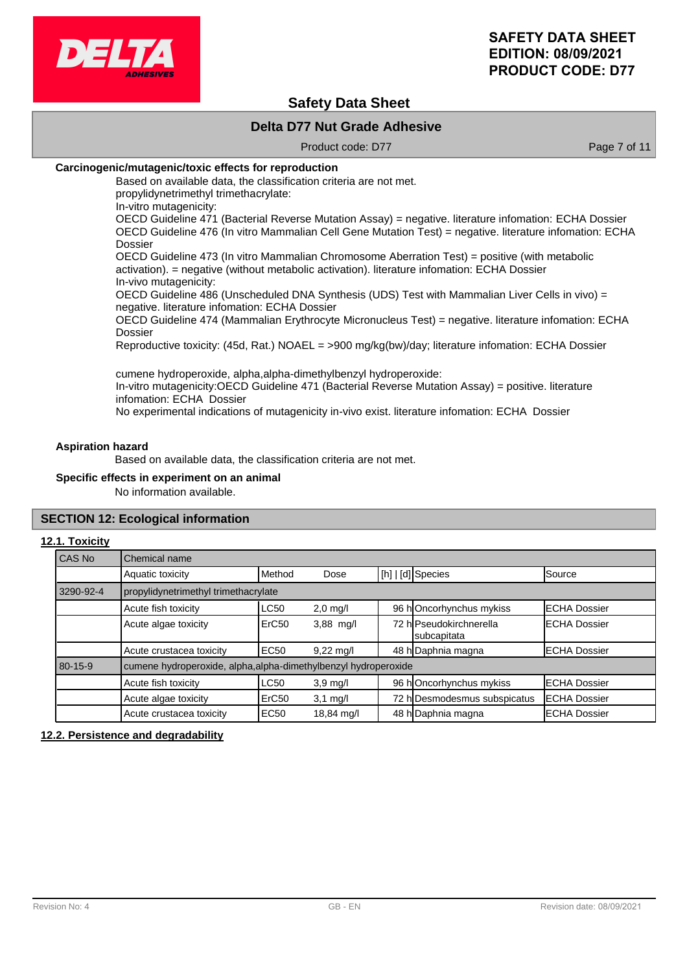

## **Safety Data Sheet**

## **Delta D77 Nut Grade Adhesive**

Product code: D77 Product code: D77

#### **Carcinogenic/mutagenic/toxic effects for reproduction**

Based on available data, the classification criteria are not met. propylidynetrimethyl trimethacrylate:

In-vitro mutagenicity:

OECD Guideline 471 (Bacterial Reverse Mutation Assay) = negative. literature infomation: ECHA Dossier OECD Guideline 476 (In vitro Mammalian Cell Gene Mutation Test) = negative. literature infomation: ECHA Dossier

OECD Guideline 473 (In vitro Mammalian Chromosome Aberration Test) = positive (with metabolic activation). = negative (without metabolic activation). literature infomation: ECHA Dossier In-vivo mutagenicity:

OECD Guideline 486 (Unscheduled DNA Synthesis (UDS) Test with Mammalian Liver Cells in vivo) = negative. literature infomation: ECHA Dossier

OECD Guideline 474 (Mammalian Erythrocyte Micronucleus Test) = negative. literature infomation: ECHA Dossier

Reproductive toxicity: (45d, Rat.) NOAEL = >900 mg/kg(bw)/day; literature infomation: ECHA Dossier

cumene hydroperoxide, alpha,alpha-dimethylbenzyl hydroperoxide: In-vitro mutagenicity:OECD Guideline 471 (Bacterial Reverse Mutation Assay) = positive. literature infomation: ECHA Dossier No experimental indications of mutagenicity in-vivo exist. literature infomation: ECHA Dossier

#### **Aspiration hazard**

Based on available data, the classification criteria are not met.

#### **Specific effects in experiment on an animal**

No information available.

#### **SECTION 12: Ecological information**

#### **12.1. Toxicity**

| l CAS No  | Chemical name                                                   |                   |                     |  |                                        |                      |
|-----------|-----------------------------------------------------------------|-------------------|---------------------|--|----------------------------------------|----------------------|
|           | Aquatic toxicity                                                | <b>I</b> Method   | Dose                |  | [h]   [d] Species                      | Source               |
| 3290-92-4 | propylidynetrimethyl trimethacrylate                            |                   |                     |  |                                        |                      |
|           | Acute fish toxicity                                             | <b>LC50</b>       | $2,0$ mg/l          |  | 96 hOncorhynchus mykiss                | <b>ECHA Dossier</b>  |
|           | Acute algae toxicity                                            | ErC <sub>50</sub> | $3,88$ mg/l         |  | 72 hlPseudokirchnerella<br>subcapitata | <b>ECHA Dossier</b>  |
|           | Acute crustacea toxicity                                        | EC50              | $9,22 \text{ mq/l}$ |  | 48 h Daphnia magna                     | <b>IECHA Dossier</b> |
| 80-15-9   | cumene hydroperoxide, alpha, alpha-dimethylbenzyl hydroperoxide |                   |                     |  |                                        |                      |
|           | Acute fish toxicity                                             | <b>LC50</b>       | $3,9$ mg/l          |  | 96 hOncorhynchus mykiss                | <b>ECHA Dossier</b>  |
|           | Acute algae toxicity                                            | ErC <sub>50</sub> | $3,1$ mg/l          |  | 72 h Desmodesmus subspicatus           | <b>ECHA Dossier</b>  |
|           | Acute crustacea toxicity                                        | EC <sub>50</sub>  | 18,84 mg/l          |  | 48 h Daphnia magna                     | <b>ECHA Dossier</b>  |

#### **12.2. Persistence and degradability**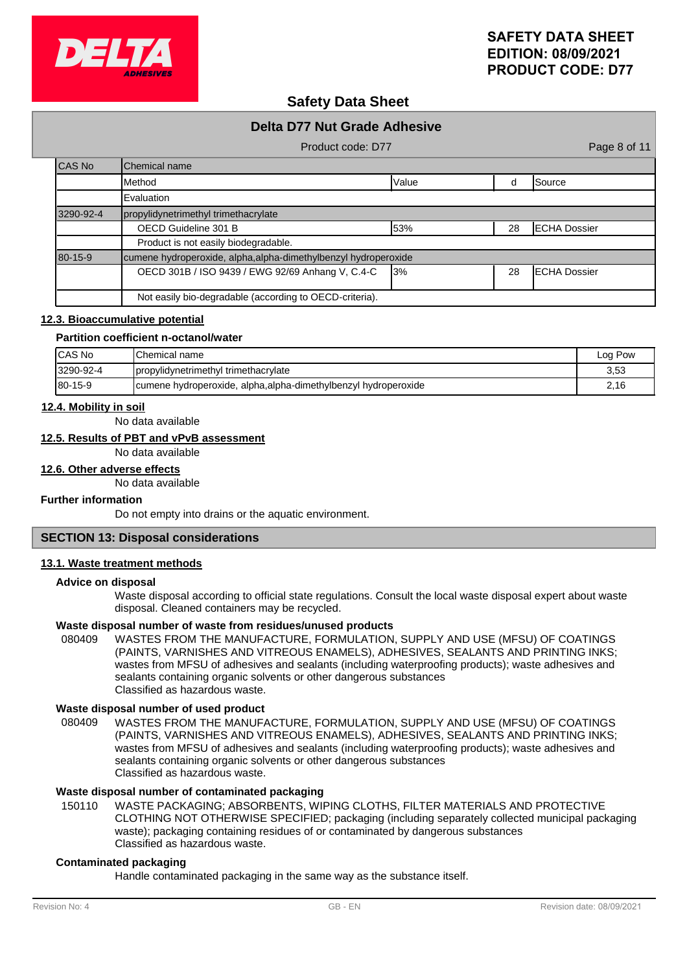

## **Safety Data Sheet**

# **Delta D77 Nut Grade Adhesive** Product code: D77 Product code: D77 CAS No Chemical name Method Value d Source Evaluation 3290-92-4 propylidynetrimethyl trimethacrylate OECD Guideline 301 B **53%** 28 ECHA Dossier Product is not easily biodegradable. 80-15-9 cumene hydroperoxide, alpha,alpha-dimethylbenzyl hydroperoxide OECD 301B / ISO 9439 / EWG 92/69 Anhang V, C.4-C 3% 28 ECHA Dossier Not easily bio-degradable (according to OECD-criteria).

#### **12.3. Bioaccumulative potential**

#### **Partition coefficient n-octanol/water**

| <b>ICAS No</b> | <b>I</b> Chemical name                                          | Log Pow |
|----------------|-----------------------------------------------------------------|---------|
| 3290-92-4      | propylidynetrimethyl trimethacrylate                            | 3.53    |
| $180 - 15 - 9$ | cumene hydroperoxide, alpha, alpha-dimethylbenzyl hydroperoxide | 2.16    |

### **12.4. Mobility in soil**

No data available

## **12.5. Results of PBT and vPvB assessment**

No data available

### **12.6. Other adverse effects**

No data available

#### **Further information**

Do not empty into drains or the aquatic environment.

### **SECTION 13: Disposal considerations**

#### **13.1. Waste treatment methods**

#### **Advice on disposal**

Waste disposal according to official state regulations. Consult the local waste disposal expert about waste disposal. Cleaned containers may be recycled.

#### **Waste disposal number of waste from residues/unused products**

080409 WASTES FROM THE MANUFACTURE, FORMULATION, SUPPLY AND USE (MFSU) OF COATINGS (PAINTS, VARNISHES AND VITREOUS ENAMELS), ADHESIVES, SEALANTS AND PRINTING INKS; wastes from MFSU of adhesives and sealants (including waterproofing products); waste adhesives and sealants containing organic solvents or other dangerous substances Classified as hazardous waste.

#### **Waste disposal number of used product**

WASTES FROM THE MANUFACTURE, FORMULATION, SUPPLY AND USE (MFSU) OF COATINGS (PAINTS, VARNISHES AND VITREOUS ENAMELS), ADHESIVES, SEALANTS AND PRINTING INKS; wastes from MFSU of adhesives and sealants (including waterproofing products); waste adhesives and sealants containing organic solvents or other dangerous substances Classified as hazardous waste. 080409

## **Waste disposal number of contaminated packaging**

WASTE PACKAGING; ABSORBENTS, WIPING CLOTHS, FILTER MATERIALS AND PROTECTIVE CLOTHING NOT OTHERWISE SPECIFIED; packaging (including separately collected municipal packaging waste); packaging containing residues of or contaminated by dangerous substances Classified as hazardous waste. 150110

#### **Contaminated packaging**

Handle contaminated packaging in the same way as the substance itself.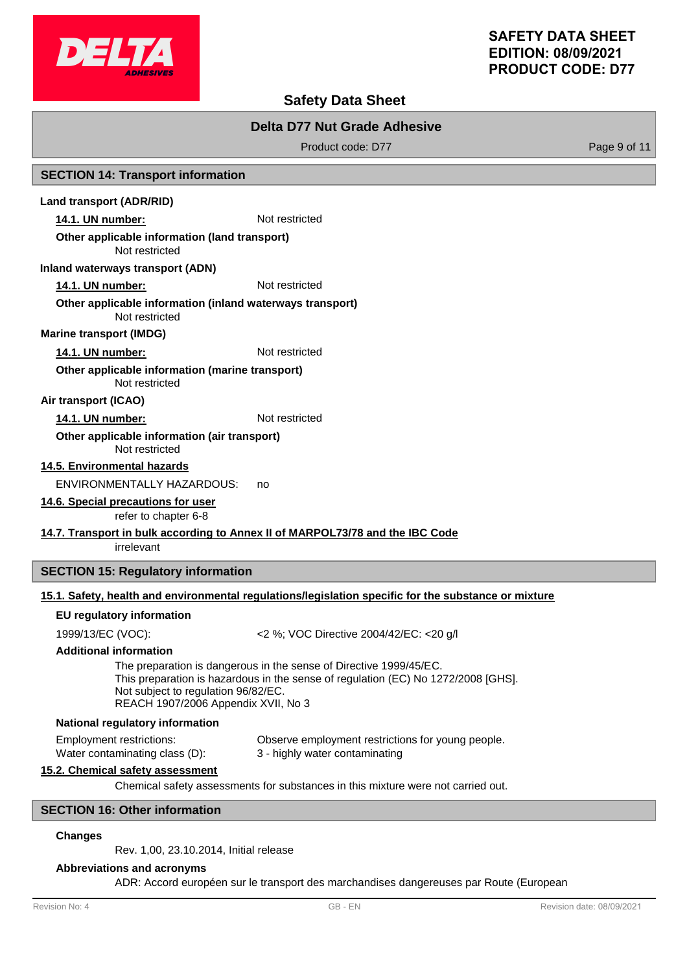

## **Safety Data Sheet**

## **Delta D77 Nut Grade Adhesive**

Product code: D77 Product code: D77

#### **SECTION 14: Transport information**

#### **Land transport (ADR/RID)**

**14.1. UN number:** Not restricted

#### **Other applicable information (land transport)**

Not restricted

#### **Inland waterways transport (ADN)**

**14.1. UN number:** Not restricted

#### Not restricted **Other applicable information (inland waterways transport)**

**Marine transport (IMDG)**

### **14.1. UN number:** Not restricted

Not restricted **Other applicable information (marine transport)**

#### **Air transport (ICAO)**

#### 14.1. UN number: Not restricted

#### Not restricted **Other applicable information (air transport)**

**14.5. Environmental hazards**

ENVIRONMENTALLY HAZARDOUS: no

## **14.6. Special precautions for user**

refer to chapter 6-8

#### **14.7. Transport in bulk according to Annex II of MARPOL73/78 and the IBC Code**

irrelevant

## **SECTION 15: Regulatory information**

## **15.1. Safety, health and environmental regulations/legislation specific for the substance or mixture**

#### **EU regulatory information**

1999/13/EC (VOC): <2 %; VOC Directive 2004/42/EC: <20 g/l

#### **Additional information**

The preparation is dangerous in the sense of Directive 1999/45/EC. This preparation is hazardous in the sense of regulation (EC) No 1272/2008 [GHS]. Not subject to regulation 96/82/EC. REACH 1907/2006 Appendix XVII, No 3

#### **National regulatory information**

Employment restrictions: Observe employment restrictions for young people. Water contaminating class (D): 3 - highly water contaminating

#### **15.2. Chemical safety assessment**

Chemical safety assessments for substances in this mixture were not carried out.

## **SECTION 16: Other information**

#### **Changes**

Rev. 1,00, 23.10.2014, Initial release

#### **Abbreviations and acronyms**

ADR: Accord européen sur le transport des marchandises dangereuses par Route (European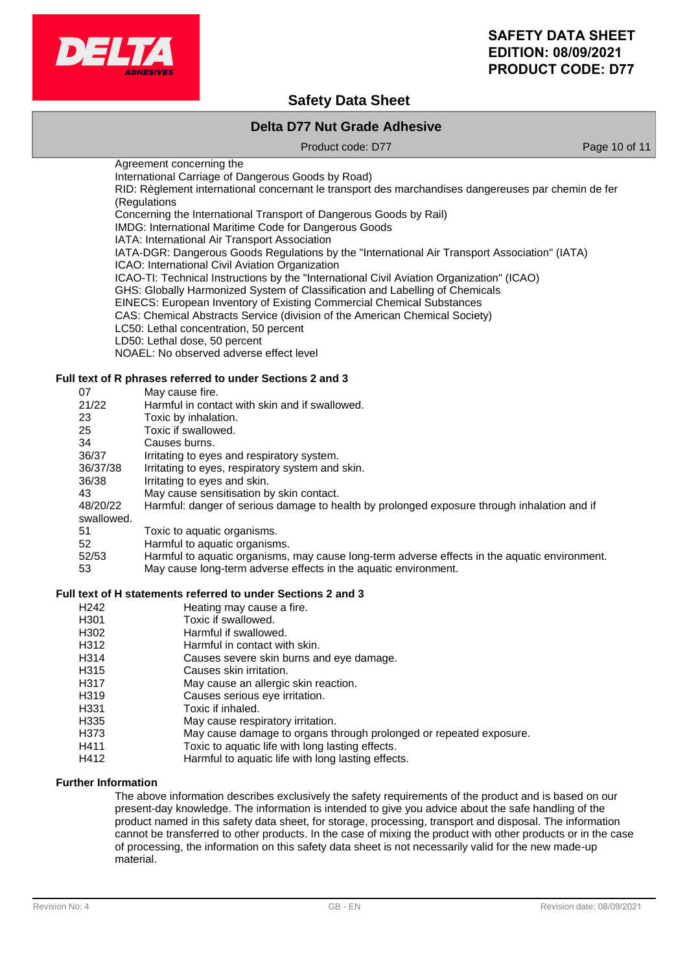

# **Safety Data Sheet**

## **Delta D77 Nut Grade Adhesive**

Product code: D77 Product code: D77

Agreement concerning the International Carriage of Dangerous Goods by Road) RID: Règlement international concernant le transport des marchandises dangereuses par chemin de fer

(Regulations Concerning the International Transport of Dangerous Goods by Rail)

IMDG: International Maritime Code for Dangerous Goods

IATA: International Air Transport Association

IATA-DGR: Dangerous Goods Regulations by the "International Air Transport Association" (IATA) ICAO: International Civil Aviation Organization

ICAO-TI: Technical Instructions by the "International Civil Aviation Organization" (ICAO)

GHS: Globally Harmonized System of Classification and Labelling of Chemicals

EINECS: European Inventory of Existing Commercial Chemical Substances

CAS: Chemical Abstracts Service (division of the American Chemical Society)

LC50: Lethal concentration, 50 percent

LD50: Lethal dose, 50 percent

NOAEL: No observed adverse effect level

### **Full text of R phrases referred to under Sections 2 and 3**

| 07         | May cause fire.                                                                               |
|------------|-----------------------------------------------------------------------------------------------|
| 21/22      | Harmful in contact with skin and if swallowed.                                                |
| 23         | Toxic by inhalation.                                                                          |
| 25         | Toxic if swallowed.                                                                           |
| 34         | Causes burns.                                                                                 |
| 36/37      | Irritating to eyes and respiratory system.                                                    |
| 36/37/38   | Irritating to eyes, respiratory system and skin.                                              |
| 36/38      | Irritating to eyes and skin.                                                                  |
| 43         | May cause sensitisation by skin contact.                                                      |
| 48/20/22   | Harmful: danger of serious damage to health by prolonged exposure through inhalation and if   |
| swallowed. |                                                                                               |
| 51         | Toxic to aquatic organisms.                                                                   |
| 52         | Harmful to aquatic organisms.                                                                 |
| 52/53      | Harmful to aquatic organisms, may cause long-term adverse effects in the aquatic environment. |
| 53         | May cause long-term adverse effects in the aguatic environment.                               |

#### **Full text of H statements referred to under Sections 2 and 3**

- H242 Heating may cause a fire.<br>
H301 Toxic if swallowed.
- Toxic if swallowed.
- H302 Harmful if swallowed.
- H312 Harmful in contact with skin.
- H314 Causes severe skin burns and eye damage.
- H315 Causes skin irritation.
- H317 May cause an allergic skin reaction.
- H319 Causes serious eye irritation.<br>
H331 Toxic if inhaled.
- Toxic if inhaled.
- H335 May cause respiratory irritation.
- H373 May cause damage to organs through prolonged or repeated exposure.
- H411 Toxic to aquatic life with long lasting effects.
- H412 Harmful to aquatic life with long lasting effects.

## **Further Information**

The above information describes exclusively the safety requirements of the product and is based on our present-day knowledge. The information is intended to give you advice about the safe handling of the product named in this safety data sheet, for storage, processing, transport and disposal. The information cannot be transferred to other products. In the case of mixing the product with other products or in the case of processing, the information on this safety data sheet is not necessarily valid for the new made-up material.